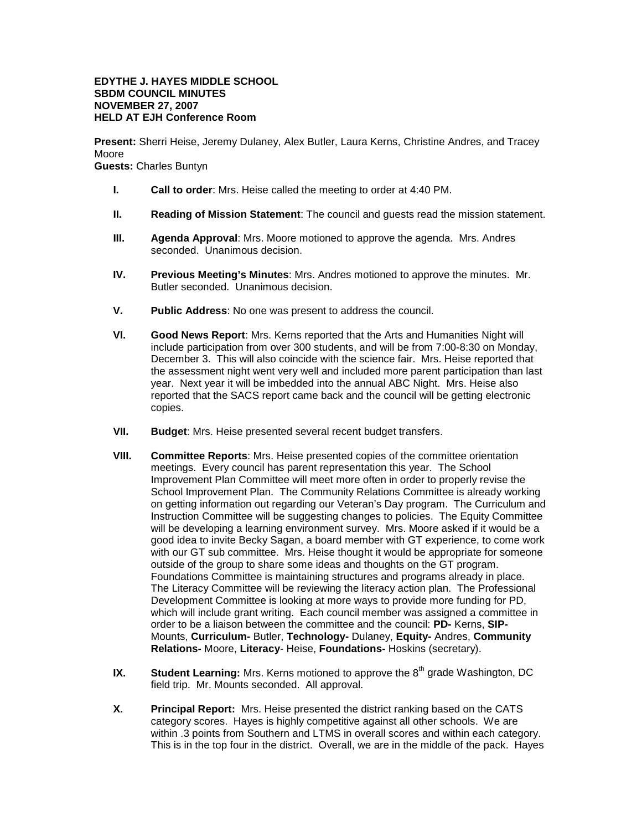## **EDYTHE J. HAYES MIDDLE SCHOOL SBDM COUNCIL MINUTES NOVEMBER 27, 2007 HELD AT EJH Conference Room**

**Present:** Sherri Heise, Jeremy Dulaney, Alex Butler, Laura Kerns, Christine Andres, and Tracey Moore

**Guests:** Charles Buntyn

- **I. Call to order**: Mrs. Heise called the meeting to order at 4:40 PM.
- **II. Reading of Mission Statement**: The council and guests read the mission statement.
- **III. Agenda Approval**: Mrs. Moore motioned to approve the agenda. Mrs. Andres seconded. Unanimous decision.
- **IV. Previous Meeting's Minutes**: Mrs. Andres motioned to approve the minutes. Mr. Butler seconded. Unanimous decision.
- **V. Public Address**: No one was present to address the council.
- **VI. Good News Report**: Mrs. Kerns reported that the Arts and Humanities Night will include participation from over 300 students, and will be from 7:00-8:30 on Monday, December 3. This will also coincide with the science fair. Mrs. Heise reported that the assessment night went very well and included more parent participation than last year. Next year it will be imbedded into the annual ABC Night. Mrs. Heise also reported that the SACS report came back and the council will be getting electronic copies.
- **VII. Budget**: Mrs. Heise presented several recent budget transfers.
- **VIII. Committee Reports**: Mrs. Heise presented copies of the committee orientation meetings. Every council has parent representation this year. The School Improvement Plan Committee will meet more often in order to properly revise the School Improvement Plan. The Community Relations Committee is already working on getting information out regarding our Veteran's Day program. The Curriculum and Instruction Committee will be suggesting changes to policies. The Equity Committee will be developing a learning environment survey. Mrs. Moore asked if it would be a good idea to invite Becky Sagan, a board member with GT experience, to come work with our GT sub committee. Mrs. Heise thought it would be appropriate for someone outside of the group to share some ideas and thoughts on the GT program. Foundations Committee is maintaining structures and programs already in place. The Literacy Committee will be reviewing the literacy action plan. The Professional Development Committee is looking at more ways to provide more funding for PD, which will include grant writing. Each council member was assigned a committee in order to be a liaison between the committee and the council: **PD-** Kerns, **SIP-**Mounts, **Curriculum-** Butler, **Technology-** Dulaney, **Equity-** Andres, **Community Relations-** Moore, **Literacy**- Heise, **Foundations-** Hoskins (secretary).
- **IX. Student Learning:** Mrs. Kerns motioned to approve the 8<sup>th</sup> grade Washington, DC field trip. Mr. Mounts seconded. All approval.
- **X. Principal Report:** Mrs. Heise presented the district ranking based on the CATS category scores. Hayes is highly competitive against all other schools. We are within .3 points from Southern and LTMS in overall scores and within each category. This is in the top four in the district. Overall, we are in the middle of the pack. Hayes